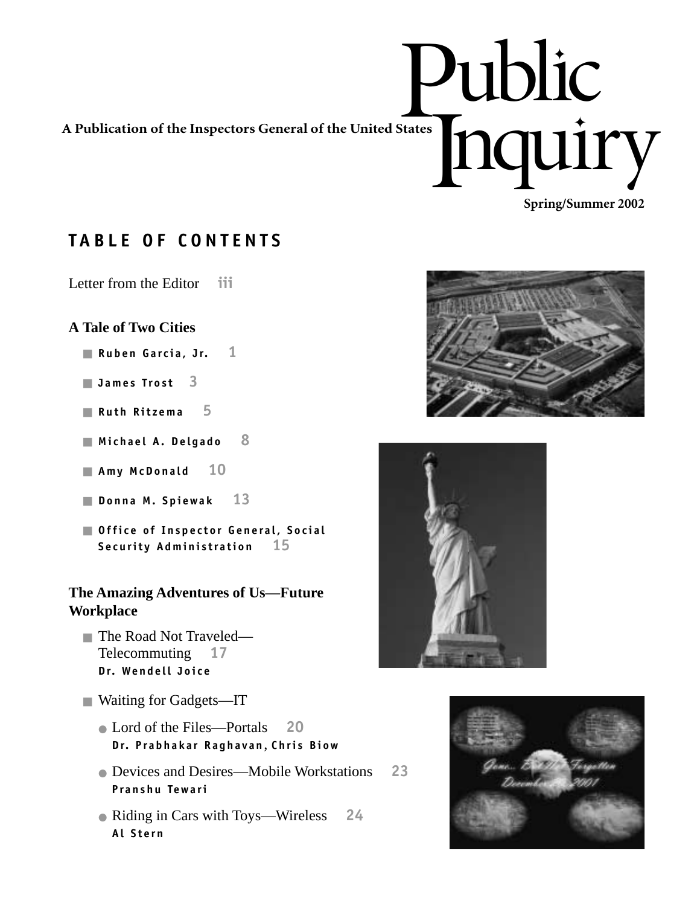Public<br>Fronti Inquiry **Spring/Summer 2002 A Publication of the Inspectors General of the United States**

## **TABLE OF CONTENTS**

Letter from the Editor **iii**

## **A Tale of Two Cities**

- **Ruben Garcia, Jr. 1**
- **James Trost 3**
- **Ruth Ritzema 5**
- **Michael A. Delgado 8**
- **Amy McDonald 10**
- **Donna M. Spiewak 13**
- **Office of Inspector General, Social Security Administration 15**

## **The Amazing Adventures of Us—Future Workplace**

- The Road Not Traveled— Telecommuting **17 Dr. Wendell Joice**
- Waiting for Gadgets—IT
	- Lord of the Files—Portals **20 Dr. Prabhakar Raghavan** , **Chris Biow**
	- Devices and Desires—Mobile Workstations **23 Pranshu Tewari**
	- Riding in Cars with Toys—Wireless **24 Al Stern**



✦

✦



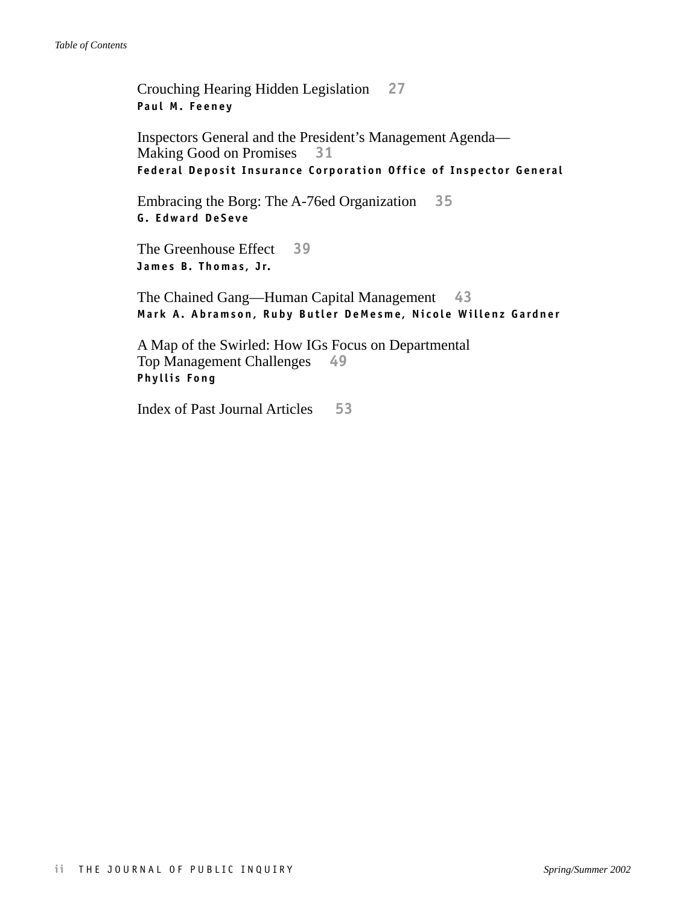Crouching Hearing Hidden Legislation **27 Paul M. Feeney**

Inspectors General and the President's Management Agenda— Making Good on Promises **31 Federal Deposit Insurance Corporation Office of Inspector General**

Embracing the Borg: The A-76ed Organization **35 G. Edward DeSeve**

The Greenhouse Effect **39 James B. Thomas, Jr.**

The Chained Gang—Human Capital Management **43 Mark A. Abramson, Ruby Butler DeMesme, Nicole Willenz Gardner**

A Map of the Swirled: How IGs Focus on Departmental Top Management Challenges **49 Phyllis Fong**

Index of Past Journal Articles **53**